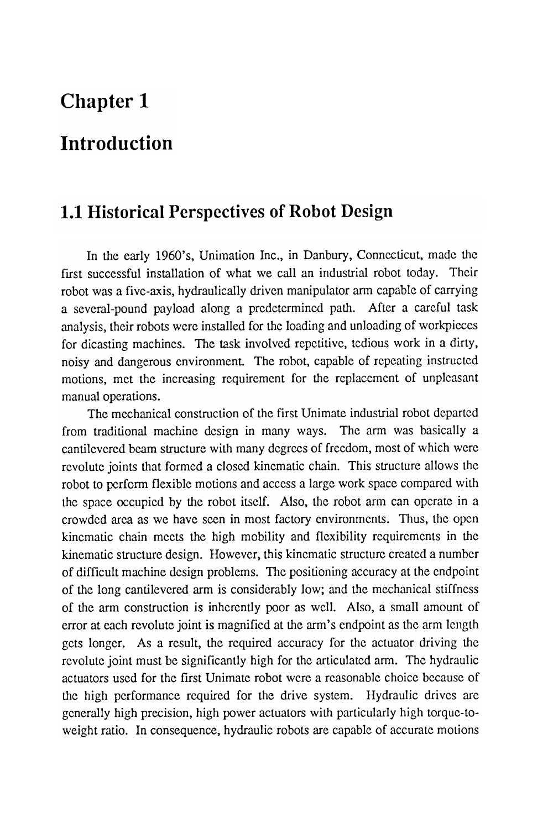# Chapter 1

# Introduction

## 1.1 Historical Perspectives of Robot Design

In the early 1960's, Unimation Inc., in Danbury, Connecticut, made the first successful installation of what we call an industrial robot today. Thcir robot was a five -axis, hydraulically driven manipulator arm capable of carrying a several-pound payload along a predetermined path. Aftcr a careful task analysis, their robots were installed for the loading and unloading of workpicccs for dicasting machines. The task involved repetitive, tedious work in a dirty, noisy and dangerous environment. The robot, capable of repeating instructed motions , met the increasing requirement for the replacement of unpleasant manual operations.

Thc mechanical construction of the first Unimate industrial robot departed from traditional machine design in many ways. Thc arm was basically a cantilevered beam structure with many degrees of freedom, most of which were revolute joints that formed a closed kinematic chain. This structure allows the robot to pcrform flexible motions and access a large work space compared with the space occupied by the robot itself. Also, the robot arm can operate in a crowded area as we have seen in most factory environments. Thus, the open kinematic chain meets the high mobility and flexibility requirements in the kinematic structure design. However , this kinematic structure created a number of difficult machine design problems. Thc positioning accuracy at the endpoint of the long cantilevered arm is considerably low; and the mechanical stiffness of the arm construction is inherently poor as well. Also, a small amount of error at each revolute joint is magnified at the arm's endpoint as the arm length gets longer. As a result, the required accuracy for the actuator driving the revolute joint must be significantly high for the articulated arm. Thc hydraulic actuators used for the first Unimatc robot were a reasonable choice because of the high performance required for the drive system. Hydraulic drives arc generally high precision, high power actuators with particularly high torque-toweight ratio. In consequence, hydraulic robots are capable of accurate motions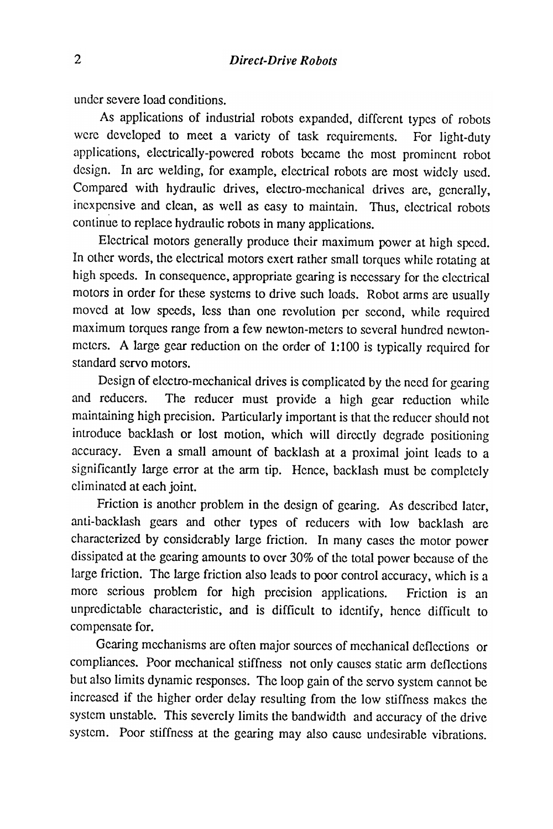under severe load conditions.

As applications of industrial robots expanded, diffcrcnt types of robots were developed to meet a variety of task requirements. For light-duty applications, electrically-powered robots became the most prominent robot design. In arc welding, for example, electrical robots are most widely used. Compared with hydraulic drives, electro-mechanical drives are, generally, incxpensive and clean, as well as easy to maintain. Thus, electrical robots continue to replace hydraulic robots in many applications .

Elcctrical motors generally produce thcir maximum power at high spccd. In other words, the electrical motors exert rather small torques while rotating at high speeds. In consequence, appropriate gcaring is ncccssary for the clcctrical motors in order for these systems to drive such loads. Robot arms are usually moved at low speeds, lcss than one rcvolution per sccond, whilc rcquircd maximum torques range from a few newton-meters to several hundred newton-. A large gear reduction on thc order of 1:100 is typically rcquircd for standard servo motors.

Design of elcctro -mechanical drives is complicated by the nccd for gcaring and rcduccrs. The reducer must provide a high gcar reduction whilc maintaining high precision. Particularly important is that the reducer should not introduce backlash or lost motion, which will directly degrade positioning accuracy. Even a small amount of backlash at a proximal joint leads to a significantly large error at the arm tip. Hence, backlash must be completely climinated at each joint.

Friction is anothcr problem in the dcsign of gearing. As described latcr, anti-backlash gears and other types of reducers with low backlash are characterized by considerably large friction. In many cases the motor power dissipated at the gcaring amounts to ovcr 30% of thc total powcr bccause of the large friction. The large friction also leads to poor control accuracy, which is a more serious problem for high precision applications. Friction is an unpredictable characteristic, and is difficult to identify, hence difficult to compensate for.

Gcaring mcchanisms are often major sources of mcchanical dcflcctions or compliances. Poor mechanical stiffness not only causcs static arm deflcctions but also limits dynamic responscs. Thc loop gain of the servo system cannot be increased if the higher order delay resulting from the low stiffness makcs the systcm unstable. This severcly limits the bandwidth and accuracy of the drive system. Poor stiffness at the gearing may also cause undesirable vibrations.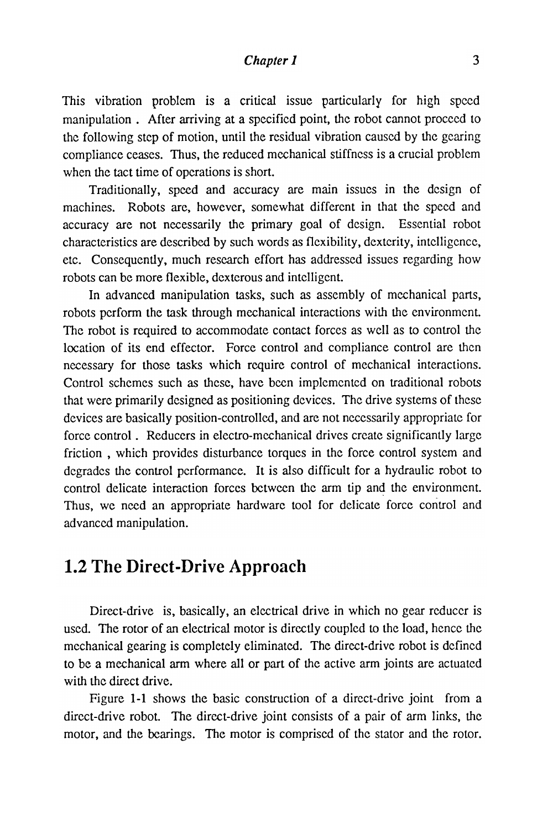#### Chapter 1 3

This vibration problem is a critical issue particularly for high speed manipulation . After arriving at a specified point, the robot cannot proceed to the following step of motion, until the residual vibration caused by the gearing compliance ceases. Thus, the reduced mechanical stiffness is a crucial problem when the tact time of operations is short.

Traditionally, speed and accuracy are main issues in the design of machines. Robots are, however, somewhat different in that the speed and accuracy are not necessarily the primary goal of design. Essential robot characteristics are described by such words as flexibility, dexterity, intelligence, etc. Consequently, much research effort has addressed issues regarding how robots can be more flexible, dexterous and intelligent.

In advanced manipulation tasks, such as assembly of mechanical parts, robots perform the task through mechanical interactions with the environment. The robot is required to accommodate contact forces as well as to control the location of its end effector. Force control and compliance control are then necessary for those tasks which require control of mechanical interactions . Control schemes such as these, have been implemented on traditional robots that were primarily designed as positioning devices . The drive systems of these devices are basically position-controlled, and are not necessarily appropriate for force control. Reducers in electro-mechanical drives create significantly large friction , which provides disturbance torques in the force control system and degrades the control performance. It is also difficult for a hydraulic robot to control delicate interaction forces between the arm tip and the environment. Thus, we need an appropriate hardware tool for delicate force control and advanced manipulation.

## 1.2 The Direct-Drive Approach

Direct-drive is, basically, an electrical drive in which no gear reducer is used. The rotor of an electrical motor is directly coupled to the load, hence the mechanical gearing is completely eliminated. The direct-drive robot is defined to be a mechanical arm where all or part of thc active arm joints are actuatcd with the direct drive.

Figure 1-1 shows the basic construction of a direct-drive joint from a direct-drive robot. The direct-drive joint consists of a pair of arm links, the motor, and the bearings. The motor is comprised of the stator and the rotor.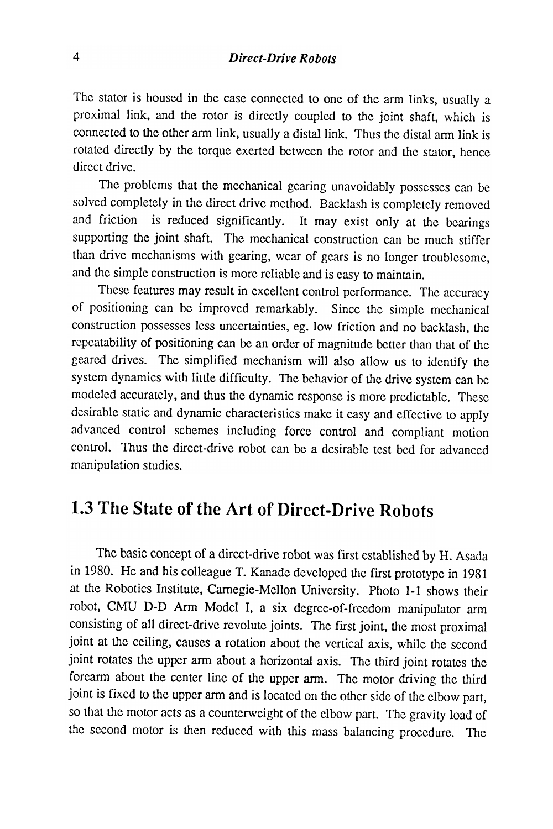### 4 Direct -Drive Robots

Thc stator is housed in the case connccted to onc of the arm links, usually a proximal link, and the rotor is dircctly couplcd to thc joint shaft, which is connectcd to the other arm link, usually a distal link. Thus the distal arm link is rotatcd directly by the torquc exerted betwccn thc rotor and thc stator, hcnce direct drive.

The problcms that the mechanical gcaring unavoidably posscsscs can be solvcd completely in the dircct drivc mcthod. Backlash is complctcly rcmovcd and friction is reduced significantly. It may exist only at thc bcarings supporting the joint shaft. The mechanical construction can be much stiffer than drive mcchanisms with gcaring, wcar of gcars is no longcr troublcsome, and thc simple construction is more reliablc and is easy to maintain.

Thesc features may result in excellcnt control pcrformance. Thc accuracy of positioning can be improved remarkably. Since the simple mechanical construction possesses less uncertainties, eg. low friction and no backlash, the rcpcatability of positioning can be an order of magnitude better than that of thc gcarcd drives. The simplified mcchanism will also allow us to idcntify the system dynamics with little difficulty. The behavior of the drive system can be modclcd accurately, and thus thc dynamic response is morc prcdictablc. Thesc dcsirable static and dynamic characteristics makc it easy and effcctive to apply advanced control schemes including forcc control and compliant motion control. Thus the direct-drive robot can be a dcsirablc tcst bcd for advanccd manipulation studies.

# 1.3 The State of the Art of Direct -Drive Robots

The basic concept of a direct-drive robot was first established by H. Asada in 1980. He and his colleague T. Kanadc developed the first prototype in 1981 at the Robotics Institute, Carnegie-Mellon University. Photo 1-1 shows their robot, CMU D-D Arm Model I, a six degree-of-freedom manipulator arm consisting of all direct-drive revolute joints. The first joint, the most proximal joint at the ceiling, causes a rotation about the vertical axis, while the second joint rotates the upper arm about a horizontal axis. The third joint rotates the forcarm about the center line of the upper arm. The motor driving the third joint is fixcd to thc uppcr arm and is locatcd on thc othcr sidc of thc clbow part, so that thc motor acts as a countcrwcight of thc clbow part. Thc gravity load of thc sccond motor is then rcduccd with this mass balancing proccdure. The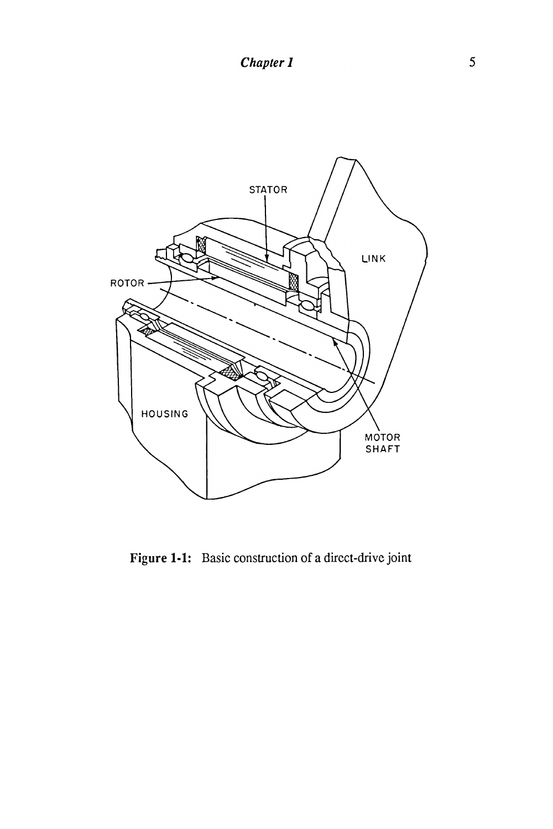

Figure 1-1: Basic construction of a direct-drive joint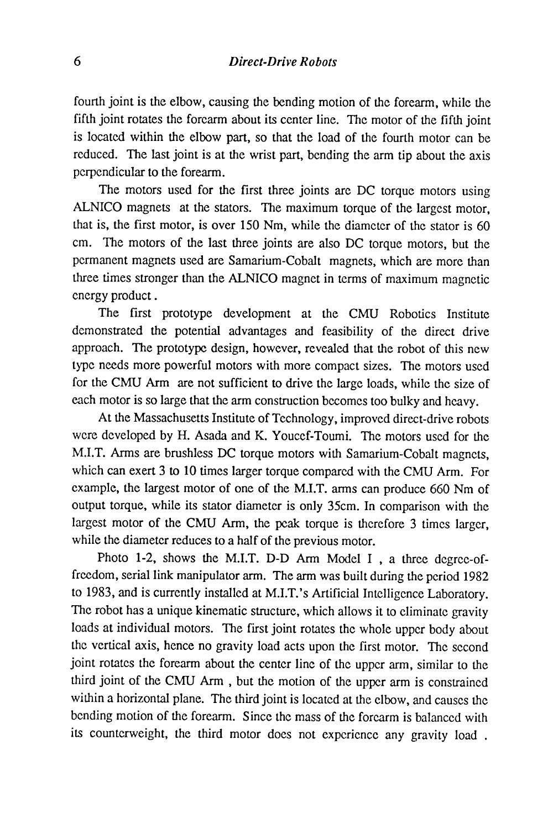### 6 Direct-Drive Robots

fourth joint is the elbow, causing the bending motion of the forearm, while the fifth joint rotates the forcarm about its center line. The motor of the fifth joint is located within the elbow part, so that the load of the fourth motor can be reduced. The last joint is at the wrist part, bending the arm tip about the axis perpendicular to the forearm.

The motors used for the first three joints arc DC torque motors using ALNICO magnets at the stators. The maximum torque of the largest motor, that is, the first motor, is over  $150$  Nm, while the diameter of the stator is  $60$ cm. The motors of the last three joints are also DC torque motors, but the permanent magnets used are Samarium-Cobalt magnets, which are more than three times stronger than the ALNICO magnet in terms of maximum magnctic encrgy product .

The first prototype development at the CMU Robotics Institute demonstrated the potential advantages and feasibility of the direct drive approach. The prototype design, however, revealed that the robot of this new type needs more powerful motors with more compact sizes. The motors used for the CMU Arm are not sufficient to drive the large loads, while the size of each motor is so large that the arm construction becomes too bulky and heavy.

At the Massachusetts Institute of Technology, improved direct-drive robots wcre developed by H. Asada and K. Youcef-Toumi. The motors used for the M.I.T. Arms are brushless DC torque motors with Samarium-Cobalt magnets, which can exert 3 to 10 times larger torque compared with the CMU Arm. For example, the largest motor of one of the M.I.T. arms can produce 660 Nm of output torque, while its stator diameter is only 35cm. In comparison with the largest motor of the CMU Arm, the peak torque is therefore 3 times larger, while the diameter reduces to a half of the previous motor.

Photo 1-2, shows the M.I.T. D-D Arm Model I, a three degree-offreedom, serial link manipulator arm. The arm was built during the period 1982 to 1983, and is currently installed at M.I.T.'s Artificial Intelligence Laboratory. The robot has a unique kinematic structure, which allows it to eliminate gravity loads at individual motors. The first joint rotates the whole upper body about the vertical axis, hence no gravity load acts upon the first motor. The second joint rotates the forearm about the center line of the upper arm, similar to the third joint of the CMU Arm , but the motion of the uppcr arm is constraincd within a horizontal plane. The third joint is located at the elbow, and causes the bcnding motion of the forearm . Sincc thc mass of the forcarm is balanccd with its counterweight, the third motor does not experience any gravity load.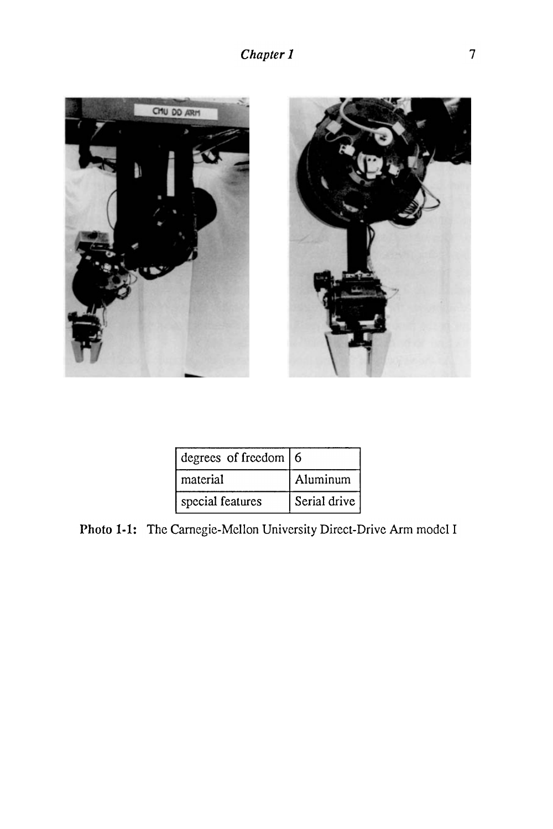



| degrees of freedom $ 6$ |              |
|-------------------------|--------------|
| material                | Aluminum     |
| special features        | Serial drive |

Photo 1-1: The Carnegie-Mellon University Direct-Drive Arm model I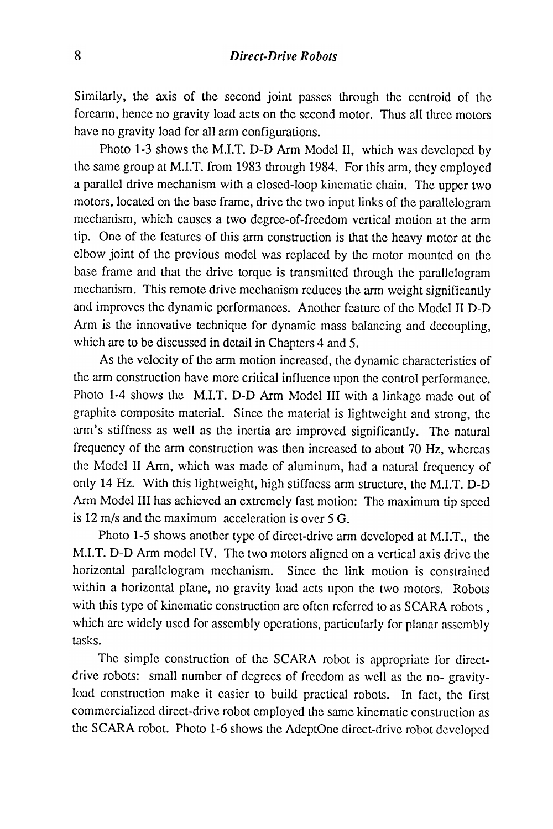### 8 Direct-Drive Robots

Similarly, the axis of the second joint passes through the centroid of the forcarm, hence no gravity load acts on the second motor. Thus all three motors have no gravity load for all arm configurations.

Photo 1-3 shows the M.I.T. D-D Arm Model II, which was developed by the same group at M.I.T. from 1983 through 1984. For this arm, they employed a parallcl drive mcchanism with a closcd-loop kincmatic chain. Thc uppcr two motors, located on the base frame, drive the two input links of the parallelogram mechanism, which causes a two degree-of-freedom vertical motion at the arm tip. One of the features of this arm construction is that the heavy motor at the clbow joint of thc prcvious model was rcplaccd by the motor mountcd on thc base frame and that the drivc torquc is transmittcd through thc parallclogram mechanism. This remote drive mechanism reduces the arm weight significantly and improves the dynamic pcrformances. Anothcr fcaturc of thc Modcl II D-D Arm is the innovative technique for dynamic mass balancing and decoupling, which are to be discussed in detail in Chapters 4 and 5.

As the velocity of the arm motion increased, the dynamic characteristics of thc arm construction have more critical influencc upon thc control pcrformancc . Photo 1-4 shows the M.I.T. D-D Arm Model III with a linkage made out of graphite composite matcrial . Since the material is lightwcight and strong, the arm's stiffness as well as the inertia are improved significantly. The natural frcqucncy of thc arm construction was thcn incrcascd to about 70 Hz, whcrcas the Model II Arm, which was made of aluminum, had a natural frequency of only 14 Hz. With this lightweight, high stiffness arm structure, the M.I.T. D-D Arm Model III has achieved an extremely fast motion: The maximum tip speed is 12 m/s and the maximum acceleration is over  $5 G$ .

Photo 1-5 shows another type of direct-drive arm developed at M.I.T., the M.I.T. D-D Arm model IV. The two motors aligned on a vertical axis drive the horizontal parallclogram mcchanism. Since the link motion is constraincd within a horizontal plane, no gravity load acts upon the two motors. Robots with this type of kinematic construction are often referred to as SCARA robots, which are widely used for assembly operations, particularly for planar assembly tasks.

The simple construction of the SCARA robot is appropriate for directdrive robots: small number of degrees of freedom as well as the no- gravityload construction makc it casicr to build practical robots. In fact, thc first commcrcializcd dircct -drivc robot cmploycd thc samc kincmatic construction as the SCARA robot. Photo 1-6 shows the AdeptOne direct-drive robot developed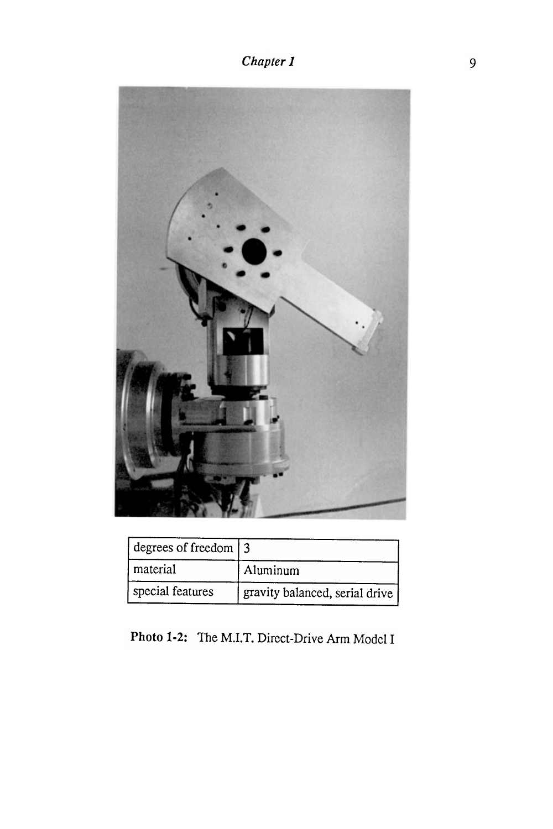## Chapter 1 9



| degrees of freedom 3 |                                |
|----------------------|--------------------------------|
| material             | Aluminum                       |
| special features     | gravity balanced, serial drive |

Photo 1-2: The M.I.T. Direct-Drive Arm Model I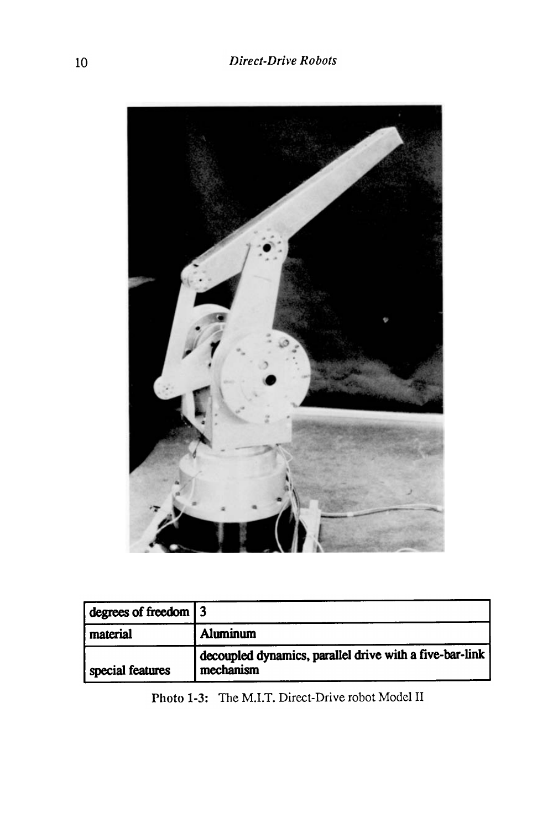

| $\vert$ degrees of freedom $\vert$ 3 |                                                                          |
|--------------------------------------|--------------------------------------------------------------------------|
| material                             | <b>Aluminum</b>                                                          |
| special features                     | decoupled dynamics, parallel drive with a five-bar-link $ $<br>mechanism |

Photo 1-3: The M.I.T. Direct-Drive robot Model II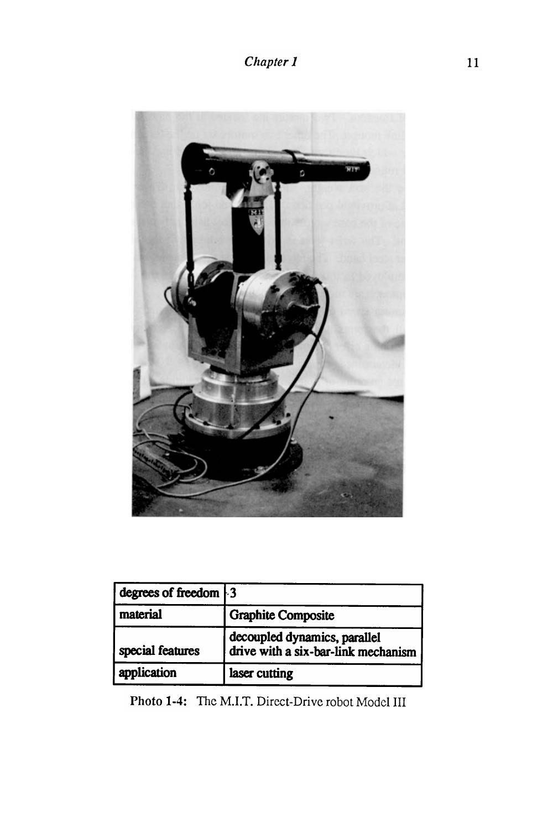

| degrees of freedom $\mid$ 3 |                                                                     |
|-----------------------------|---------------------------------------------------------------------|
| material                    | <b>Graphite Composite</b>                                           |
| special features            | decoupled dynamics, parallel<br>drive with a six-bar-link mechanism |
| application                 | laser cutting                                                       |

Photo 1-4: The M.I.T. Direct-Drive robot Model III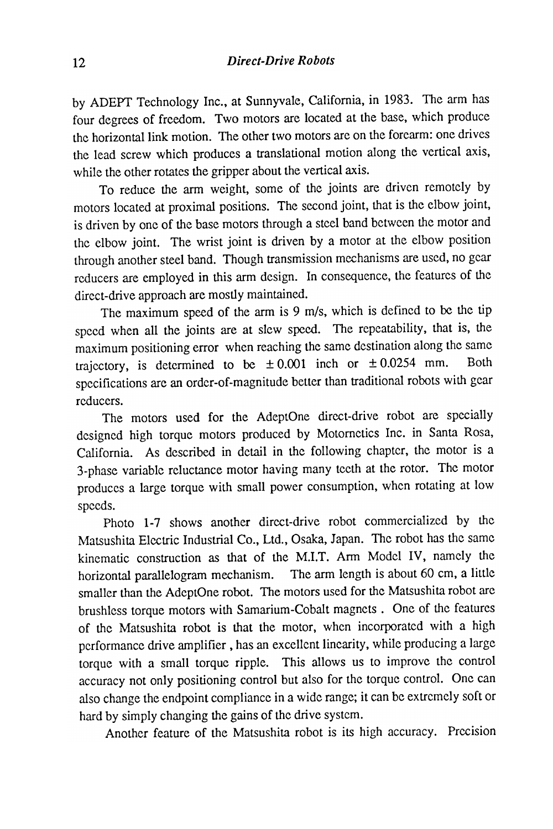by ADEPT Technology Inc., at Sunnyvale, California , in 1983. The arm has four degrees of freedom. Two motors are located at the base, which produce the horizontal link motion. The other two motors are on the forearm: one drives the lead screw which produces a translational motion along the vertical axis, while the other rotates the gripper about the vertical axis.

To reduce the arm weight, some of the joints are driven remotely by motors located at proximal positions. The second joint, that is the elbow joint, is driven by onc of the base motors through a stcel band bctwcen the motor and the elbow joint. The wrist joint is driven by a motor at the elbow position through another steel band. Though transmission mechanisms are uscd, no gcar rcducers are employed in this arm design. In consequence, thc featurcs of the direct-drive approach are mostly maintained.

The maximum speed of the arm is 9 m/s, which is defined to be the tip speed when all the joints are at slew speed. The repeatability, that is, the maximum positioning error when reaching the same destination along the same<br>trained vs. determined to be  $+0.001$  inch or  $+0.0254$  mm. Both trajectory, is determined to be  $\pm 0.001$  inch or  $\pm 0.0254$  mm. specifications are an ordcr-of-magnitude better than traditional robots with gear reducers.

The motors used for the AdeptOne direct-drive robot are specially designed high torque motors produced by Motornetics Inc. in Santa Rosa, California . As dcscribed in dctail in thc following chaptcr, thc motor is a 3-phase variablc reluctance motor having many tceth at the rotor . Thc motor produces a large torque with small power consumption, when rotating at low spccds.

Photo 1-7 shows another direct-drive robot commercialized by the Matsushita Electric Industrial Co., Ltd., Osaka, Japan. The robot has the same kinematic construction as that of the M.I.T. Arm Model IV, namely the horizontal parallelogram mechanism. The arm length is about 60 cm, a little smaller than the AdeptOne robot. The motors used for the Matsushita robot are brushless torque motors with Samarium -Cobalt magncts . Onc of thc features of the Matsushita robot is that the motor, when incorporated with a high performance drive amplifier, has an excellent linearity, while producing a large torque with a small torque ripple. This allows us to improve the control accuracy not only positioning control but also for the torque control. One can also change the endpoint compliancc in a widc range; it can bc extrcmcly soft or hard by simply changing the gains of thc drive systcm.

Another feature of the Matsushita robot is its high accuracy. Prccision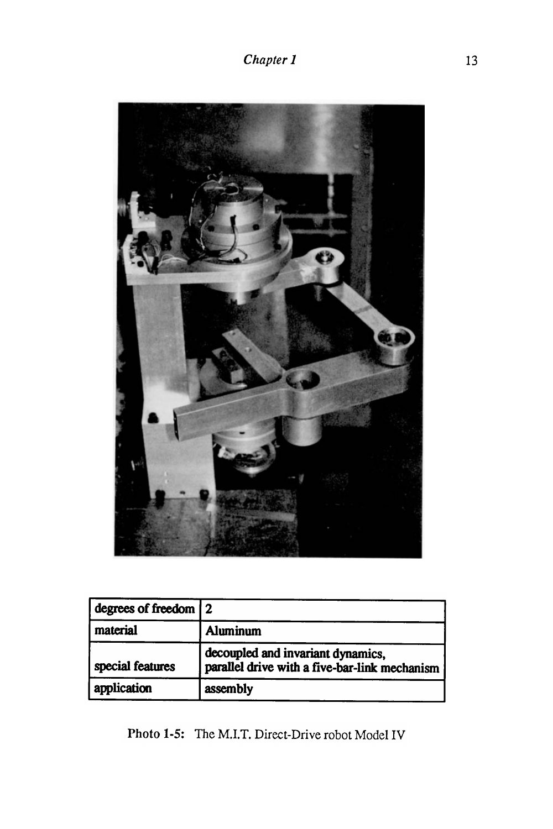

| degrees of freedom 2 |                                                                                    |
|----------------------|------------------------------------------------------------------------------------|
| material             | <b>Aluminum</b>                                                                    |
| special features     | decoupled and invariant dynamics,<br>parallel drive with a five-bar-link mechanism |
| application          | assembly                                                                           |

Photo 1-5: The M.I.T. Direct-Drive robot Model IV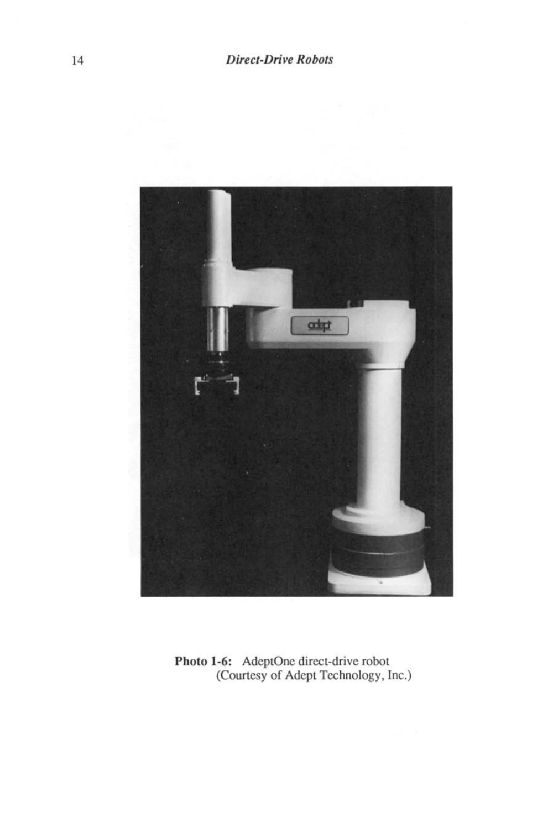

Photo 1-6: AdeptOne direct-drive robot (Courtesy of Adept Technology, Inc.)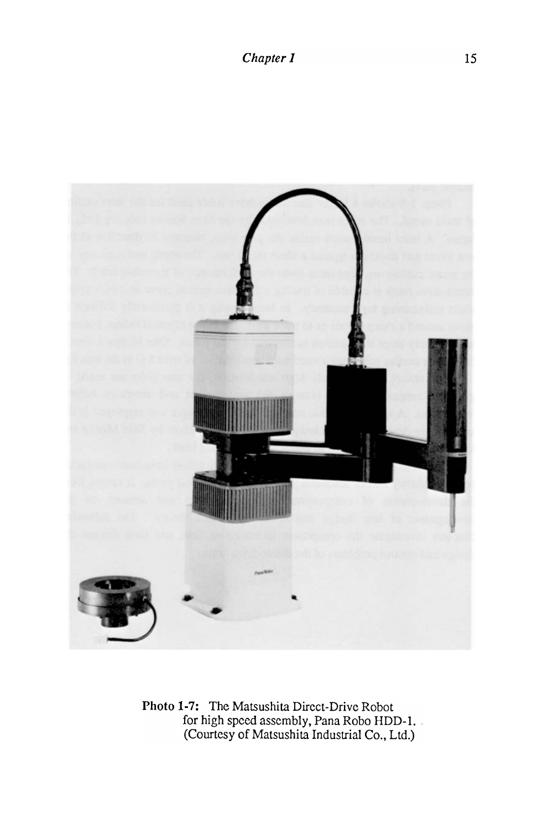

Photo 1-7: The Matsushita Direct-Drive Robot for high speed assembly, Pana Robo HDD-1. (Courtesy of Matsushita Industrial Co., Ltd.)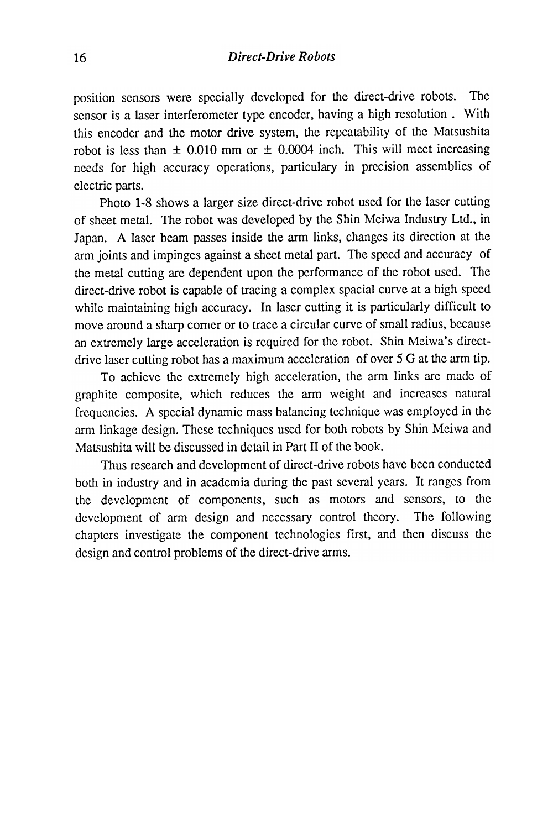position sensors were specially developed for the direct-drive robots. The sensor is a laser interferometer type encoder, having a high resolution . With this encoder and the motor drive system, the repeatability of the Matsushita robot is less than  $\pm$  0.010 mm or  $\pm$  0.0004 inch. This will meet increasing needs for high accuracy operations, particulary in precision assemblies of electric parts.

Photo 1-8 shows a larger size direct-drive robot used for the laser cutting of sheet metal. The robot was developed by the Shin Meiwa Industry Ltd., in Japan. A laser beam passes inside the arm links, changes its direction at the arm joints and impinges against a sheet metal part. The speed and accuracy of the metal cutting are dependent upon the performance of the robot used. The direct-drive robot is capable of tracing a complex spacial curve at a high speed while maintaining high accuracy. In laser cutting it is particularly difficult to move around a sharp comcr or to tracc a circular curve of small radius, bccause an extrcmcly large acccicration is rcquircd for the robot. Shin Mciwa's dircctdrive lascr cutting robot has a maximum accelcration of over 5 G at thc arm tip.

To achicve the extremely high acccicration, the arm links arc madc of graphite composite, which rcduces the arm weight and increascs natural frcqucncics. A spccial dynamic mass balancing tcchnique was cmploycd in thc arm linkage design. Thcse tcchniques uscd for both robots by Shin Mciwa and Matsushita will be discusscd in dctail in Part II of the book.

Thus research and development of direct-drive robots have bccn conducted both in industry and in acadcmia during the past scveral ycars. It rangcs from thc devclopment of componcnts, such as motors and scnsors, to the development of arm design and necessary control theory. The following chaptcrs investigate the componcnt technologics first, and thcn discuss thc dcsign and control problems of the direct-drive arms.